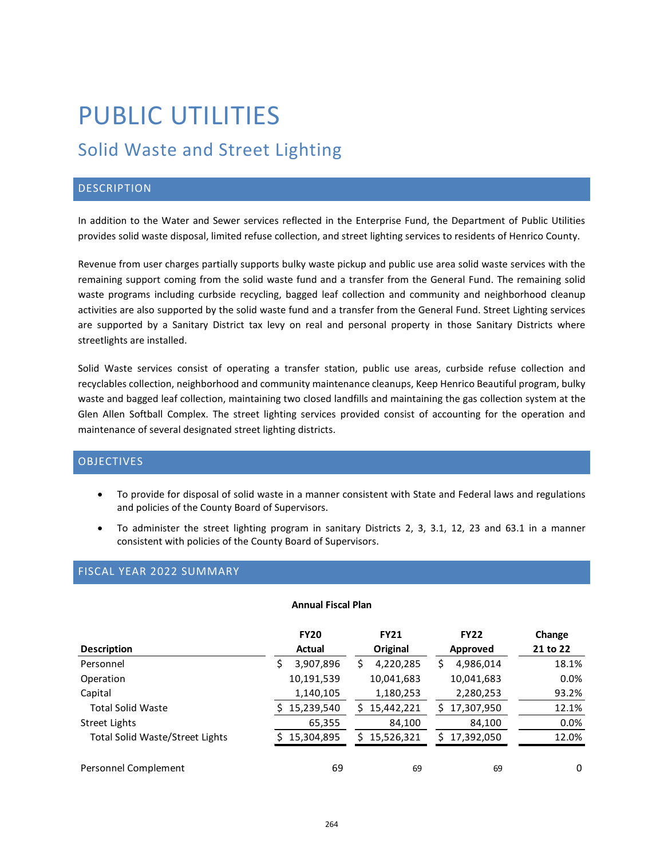# PUBLIC UTILITIES

# Solid Waste and Street Lighting

# **DESCRIPTION**

In addition to the Water and Sewer services reflected in the Enterprise Fund, the Department of Public Utilities provides solid waste disposal, limited refuse collection, and street lighting services to residents of Henrico County.

Revenue from user charges partially supports bulky waste pickup and public use area solid waste services with the remaining support coming from the solid waste fund and a transfer from the General Fund. The remaining solid waste programs including curbside recycling, bagged leaf collection and community and neighborhood cleanup activities are also supported by the solid waste fund and a transfer from the General Fund. Street Lighting services are supported by a Sanitary District tax levy on real and personal property in those Sanitary Districts where streetlights are installed.

Solid Waste services consist of operating a transfer station, public use areas, curbside refuse collection and recyclables collection, neighborhood and community maintenance cleanups, Keep Henrico Beautiful program, bulky waste and bagged leaf collection, maintaining two closed landfills and maintaining the gas collection system at the Glen Allen Softball Complex. The street lighting services provided consist of accounting for the operation and maintenance of several designated street lighting districts.

# **OBJECTIVES**

- To provide for disposal of solid waste in a manner consistent with State and Federal laws and regulations and policies of the County Board of Supervisors.
- To administer the street lighting program in sanitary Districts 2, 3, 3.1, 12, 23 and 63.1 in a manner consistent with policies of the County Board of Supervisors.

# FISCAL YEAR 2022 SUMMARY

#### **Annual Fiscal Plan**

|                                        | <b>FY20</b>    | <b>FY21</b>     | <b>FY22</b>     | Change   |
|----------------------------------------|----------------|-----------------|-----------------|----------|
| <b>Description</b>                     | Actual         | Original        | Approved        | 21 to 22 |
| Personnel                              | 3,907,896<br>S | 4,220,285       | 4,986,014       | 18.1%    |
| Operation                              | 10,191,539     | 10,041,683      | 10,041,683      | 0.0%     |
| Capital                                | 1,140,105      | 1,180,253       | 2,280,253       | 93.2%    |
| <b>Total Solid Waste</b>               | 15,239,540     | 15,442,221      | 17,307,950      | 12.1%    |
| Street Lights                          | 65,355         | 84,100          | 84,100          | 0.0%     |
| <b>Total Solid Waste/Street Lights</b> | 15,304,895     | 15,526,321<br>ς | 17,392,050<br>ς | 12.0%    |
| Personnel Complement                   | 69             | 69              | 69              | 0        |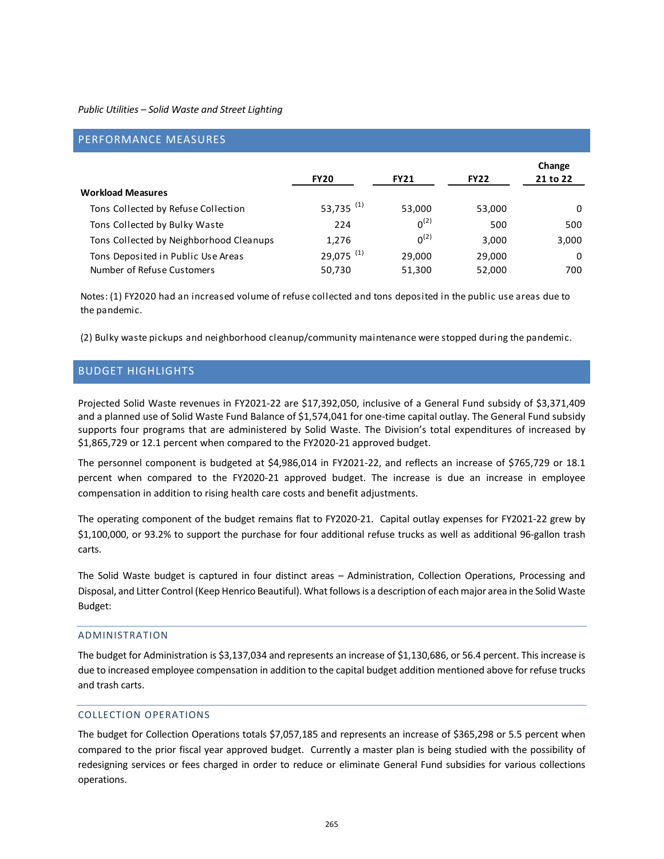| PERFORMANCE MEASURES                                             |                                   |                  |                  |                    |
|------------------------------------------------------------------|-----------------------------------|------------------|------------------|--------------------|
|                                                                  | <b>FY20</b>                       | <b>FY21</b>      | <b>FY22</b>      | Change<br>21 to 22 |
| <b>Workload Measures</b>                                         |                                   |                  |                  |                    |
| Tons Collected by Refuse Collection                              | 53,735 <sup>(1)</sup>             | 53,000           | 53,000           | 0                  |
| Tons Collected by Bulky Waste                                    | 224                               | $0^{(2)}$        | 500              | 500                |
| Tons Collected by Neighborhood Cleanups                          | 1,276                             | $0^{(2)}$        | 3,000            | 3,000              |
| Tons Deposited in Public Use Areas<br>Number of Refuse Customers | $29,075$ <sup>(1)</sup><br>50,730 | 29,000<br>51,300 | 29,000<br>52,000 | 0<br>700           |

Notes: (1) FY2020 had an increased volume of refuse collected and tons deposited in the public use areas due to the pandemic.

(2) Bulky waste pickups and neighborhood cleanup/community maintenance were stopped during the pandemic.

# BUDGET HIGHLIGHTS

Projected Solid Waste revenues in FY2021-22 are \$17,392,050, inclusive of a General Fund subsidy of \$3,371,409 and a planned use of Solid Waste Fund Balance of \$1,574,041 for one-time capital outlay. The General Fund subsidy supports four programs that are administered by Solid Waste. The Division's total expenditures of increased by \$1,865,729 or 12.1 percent when compared to the FY2020-21 approved budget.

The personnel component is budgeted at \$4,986,014 in FY2021-22, and reflects an increase of \$765,729 or 18.1 percent when compared to the FY2020-21 approved budget. The increase is due an increase in employee compensation in addition to rising health care costs and benefit adjustments.

The operating component of the budget remains flat to FY2020-21. Capital outlay expenses for FY2021-22 grew by \$1,100,000, or 93.2% to support the purchase for four additional refuse trucks as well as additional 96-gallon trash carts.

The Solid Waste budget is captured in four distinct areas – Administration, Collection Operations, Processing and Disposal, and Litter Control (Keep Henrico Beautiful). What follows is a description of each major area in the Solid Waste Budget:

#### ADMINISTRATION

The budget for Administration is \$3,137,034 and represents an increase of \$1,130,686, or 56.4 percent. This increase is due to increased employee compensation in addition to the capital budget addition mentioned above for refuse trucks and trash carts.

# COLLECTION OPERATIONS

The budget for Collection Operations totals \$7,057,185 and represents an increase of \$365,298 or 5.5 percent when compared to the prior fiscal year approved budget. Currently a master plan is being studied with the possibility of redesigning services or fees charged in order to reduce or eliminate General Fund subsidies for various collections operations.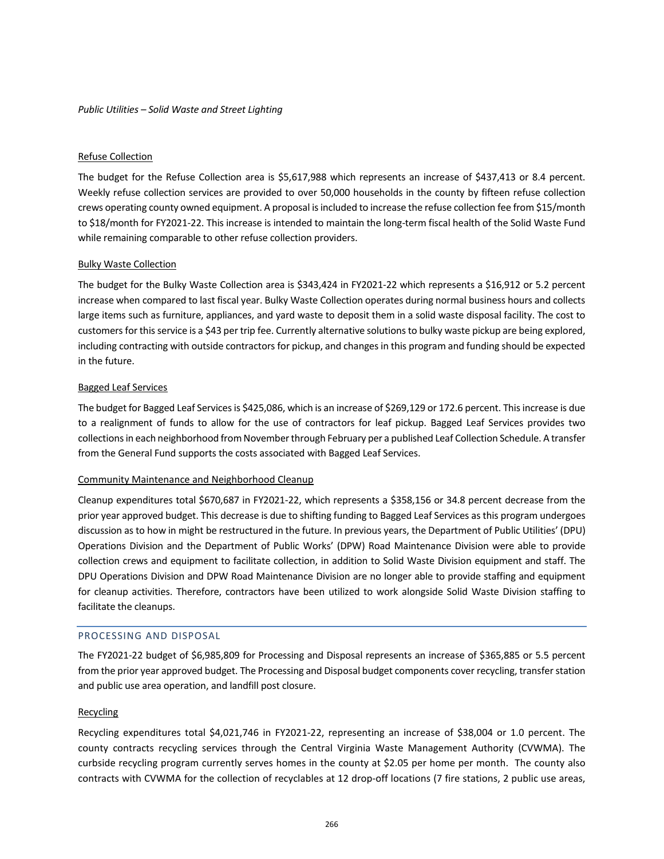#### Refuse Collection

The budget for the Refuse Collection area is \$5,617,988 which represents an increase of \$437,413 or 8.4 percent. Weekly refuse collection services are provided to over 50,000 households in the county by fifteen refuse collection crews operating county owned equipment. A proposal is included to increase the refuse collection fee from \$15/month to \$18/month for FY2021-22. This increase is intended to maintain the long-term fiscal health of the Solid Waste Fund while remaining comparable to other refuse collection providers.

#### Bulky Waste Collection

The budget for the Bulky Waste Collection area is \$343,424 in FY2021-22 which represents a \$16,912 or 5.2 percent increase when compared to last fiscal year. Bulky Waste Collection operates during normal business hours and collects large items such as furniture, appliances, and yard waste to deposit them in a solid waste disposal facility. The cost to customers for this service is a \$43 per trip fee. Currently alternative solutions to bulky waste pickup are being explored, including contracting with outside contractors for pickup, and changes in this program and funding should be expected in the future.

#### Bagged Leaf Services

The budget for Bagged Leaf Services is \$425,086, which is an increase of \$269,129 or 172.6 percent. This increase is due to a realignment of funds to allow for the use of contractors for leaf pickup. Bagged Leaf Services provides two collections in each neighborhood from November through February per a published Leaf Collection Schedule. A transfer from the General Fund supports the costs associated with Bagged Leaf Services.

# Community Maintenance and Neighborhood Cleanup

Cleanup expenditures total \$670,687 in FY2021-22, which represents a \$358,156 or 34.8 percent decrease from the prior year approved budget. This decrease is due to shifting funding to Bagged Leaf Services as this program undergoes discussion as to how in might be restructured in the future. In previous years, the Department of Public Utilities' (DPU) Operations Division and the Department of Public Works' (DPW) Road Maintenance Division were able to provide collection crews and equipment to facilitate collection, in addition to Solid Waste Division equipment and staff. The DPU Operations Division and DPW Road Maintenance Division are no longer able to provide staffing and equipment for cleanup activities. Therefore, contractors have been utilized to work alongside Solid Waste Division staffing to facilitate the cleanups.

#### PROCESSING AND DISPOSAL

The FY2021-22 budget of \$6,985,809 for Processing and Disposal represents an increase of \$365,885 or 5.5 percent from the prior year approved budget. The Processing and Disposal budget components cover recycling, transfer station and public use area operation, and landfill post closure.

#### Recycling

Recycling expenditures total \$4,021,746 in FY2021-22, representing an increase of \$38,004 or 1.0 percent. The county contracts recycling services through the Central Virginia Waste Management Authority (CVWMA). The curbside recycling program currently serves homes in the county at \$2.05 per home per month. The county also contracts with CVWMA for the collection of recyclables at 12 drop-off locations (7 fire stations, 2 public use areas,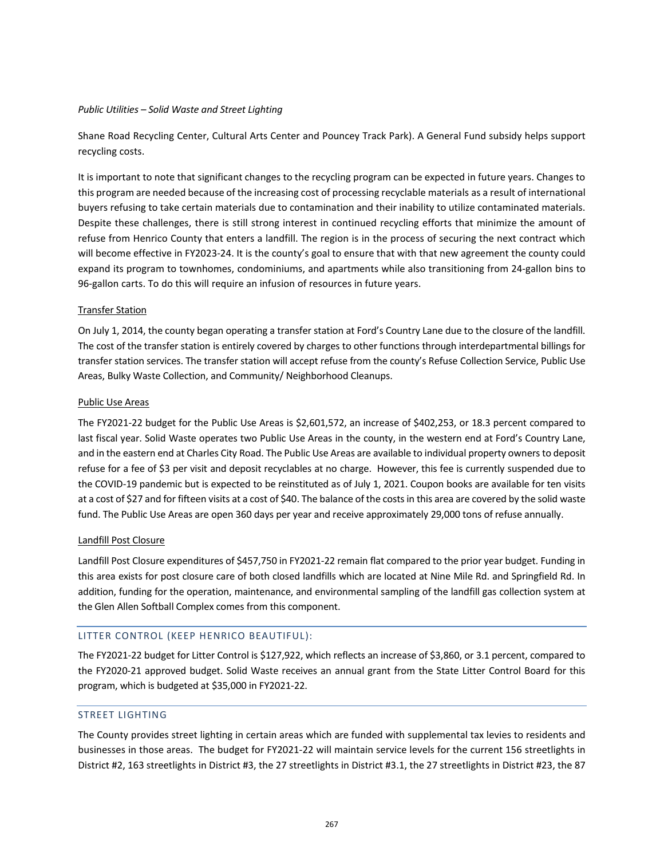Shane Road Recycling Center, Cultural Arts Center and Pouncey Track Park). A General Fund subsidy helps support recycling costs.

It is important to note that significant changes to the recycling program can be expected in future years. Changes to this program are needed because of the increasing cost of processing recyclable materials as a result of international buyers refusing to take certain materials due to contamination and their inability to utilize contaminated materials. Despite these challenges, there is still strong interest in continued recycling efforts that minimize the amount of refuse from Henrico County that enters a landfill. The region is in the process of securing the next contract which will become effective in FY2023-24. It is the county's goal to ensure that with that new agreement the county could expand its program to townhomes, condominiums, and apartments while also transitioning from 24-gallon bins to 96-gallon carts. To do this will require an infusion of resources in future years.

#### Transfer Station

On July 1, 2014, the county began operating a transfer station at Ford's Country Lane due to the closure of the landfill. The cost of the transfer station is entirely covered by charges to other functions through interdepartmental billings for transfer station services. The transfer station will accept refuse from the county's Refuse Collection Service, Public Use Areas, Bulky Waste Collection, and Community/ Neighborhood Cleanups.

#### Public Use Areas

The FY2021-22 budget for the Public Use Areas is \$2,601,572, an increase of \$402,253, or 18.3 percent compared to last fiscal year. Solid Waste operates two Public Use Areas in the county, in the western end at Ford's Country Lane, and in the eastern end at Charles City Road. The Public Use Areas are available to individual property owners to deposit refuse for a fee of \$3 per visit and deposit recyclables at no charge. However, this fee is currently suspended due to the COVID-19 pandemic but is expected to be reinstituted as of July 1, 2021. Coupon books are available for ten visits at a cost of \$27 and for fifteen visits at a cost of \$40. The balance of the costs in this area are covered by the solid waste fund. The Public Use Areas are open 360 days per year and receive approximately 29,000 tons of refuse annually.

#### Landfill Post Closure

Landfill Post Closure expenditures of \$457,750 in FY2021-22 remain flat compared to the prior year budget. Funding in this area exists for post closure care of both closed landfills which are located at Nine Mile Rd. and Springfield Rd. In addition, funding for the operation, maintenance, and environmental sampling of the landfill gas collection system at the Glen Allen Softball Complex comes from this component.

# LITTER CONTROL (KEEP HENRICO BEAUTIFUL):

The FY2021-22 budget for Litter Control is \$127,922, which reflects an increase of \$3,860, or 3.1 percent, compared to the FY2020-21 approved budget. Solid Waste receives an annual grant from the State Litter Control Board for this program, which is budgeted at \$35,000 in FY2021-22.

# STREET LIGHTING

The County provides street lighting in certain areas which are funded with supplemental tax levies to residents and businesses in those areas. The budget for FY2021-22 will maintain service levels for the current 156 streetlights in District #2, 163 streetlights in District #3, the 27 streetlights in District #3.1, the 27 streetlights in District #23, the 87